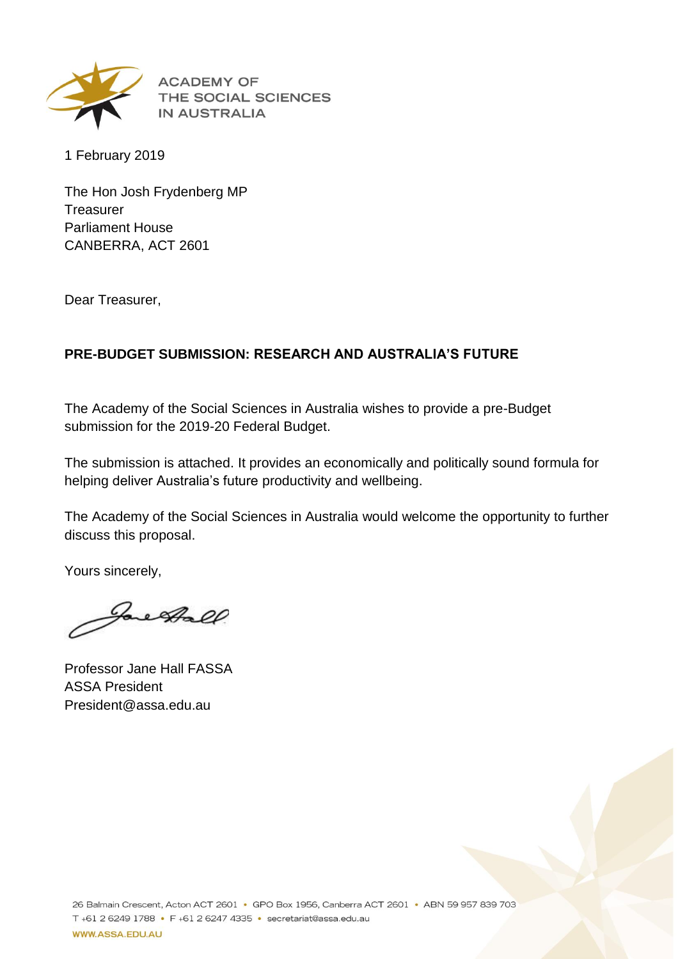

**ACADEMY OF** THE SOCIAL SCIENCES **IN AUSTRALIA** 

1 February 2019

The Hon Josh Frydenberg MP **Treasurer** Parliament House CANBERRA, ACT 2601

Dear Treasurer,

#### **PRE-BUDGET SUBMISSION: RESEARCH AND AUSTRALIA'S FUTURE**

The Academy of the Social Sciences in Australia wishes to provide a pre-Budget submission for the 2019-20 Federal Budget.

The submission is attached. It provides an economically and politically sound formula for helping deliver Australia's future productivity and wellbeing.

The Academy of the Social Sciences in Australia would welcome the opportunity to further discuss this proposal.

Yours sincerely,

Jacksoll

Professor Jane Hall FASSA ASSA President President@assa.edu.au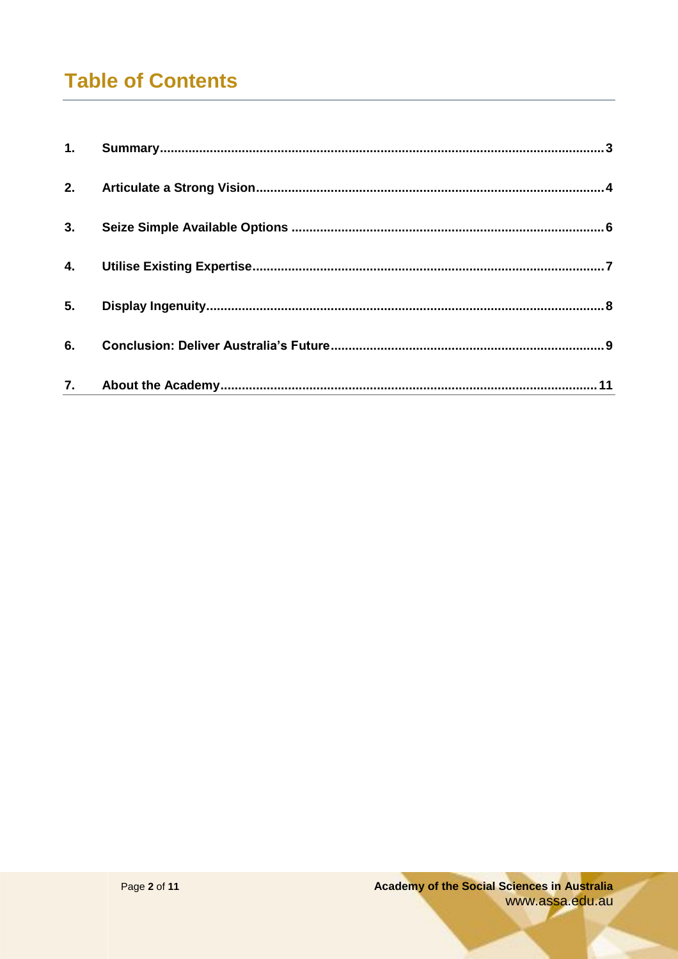# **Table of Contents**

| 2. |  |
|----|--|
| 3. |  |
|    |  |
| 5. |  |
| 6. |  |
|    |  |
|    |  |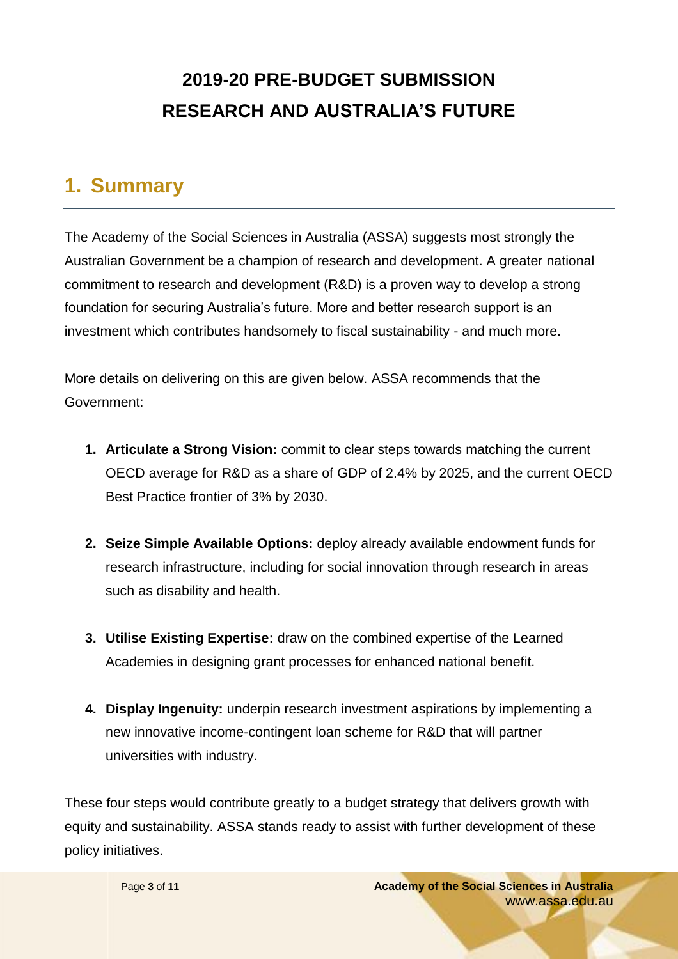# **2019-20 PRE-BUDGET SUBMISSION RESEARCH AND AUSTRALIA'S FUTURE**

### <span id="page-2-0"></span>**1. Summary**

The Academy of the Social Sciences in Australia (ASSA) suggests most strongly the Australian Government be a champion of research and development. A greater national commitment to research and development (R&D) is a proven way to develop a strong foundation for securing Australia's future. More and better research support is an investment which contributes handsomely to fiscal sustainability - and much more.

More details on delivering on this are given below. ASSA recommends that the Government:

- **1. Articulate a Strong Vision:** commit to clear steps towards matching the current OECD average for R&D as a share of GDP of 2.4% by 2025, and the current OECD Best Practice frontier of 3% by 2030.
- **2. Seize Simple Available Options:** deploy already available endowment funds for research infrastructure, including for social innovation through research in areas such as disability and health.
- **3. Utilise Existing Expertise:** draw on the combined expertise of the Learned Academies in designing grant processes for enhanced national benefit.
- **4. Display Ingenuity:** underpin research investment aspirations by implementing a new innovative income-contingent loan scheme for R&D that will partner universities with industry.

These four steps would contribute greatly to a budget strategy that delivers growth with equity and sustainability. ASSA stands ready to assist with further development of these policy initiatives.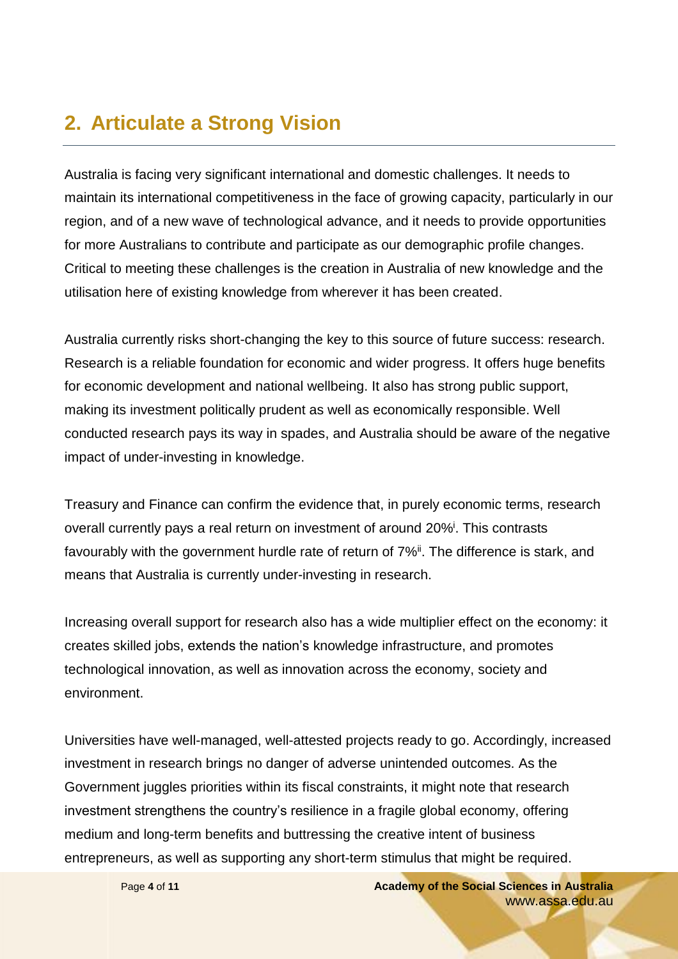### <span id="page-3-0"></span>**2. Articulate a Strong Vision**

Australia is facing very significant international and domestic challenges. It needs to maintain its international competitiveness in the face of growing capacity, particularly in our region, and of a new wave of technological advance, and it needs to provide opportunities for more Australians to contribute and participate as our demographic profile changes. Critical to meeting these challenges is the creation in Australia of new knowledge and the utilisation here of existing knowledge from wherever it has been created.

Australia currently risks short-changing the key to this source of future success: research. Research is a reliable foundation for economic and wider progress. It offers huge benefits for economic development and national wellbeing. It also has strong public support, making its investment politically prudent as well as economically responsible. Well conducted research pays its way in spades, and Australia should be aware of the negative impact of under-investing in knowledge.

Treasury and Finance can confirm the evidence that, in purely economic terms, research overall currently pays a real return on investment of around 20%<sup>i</sup>. This contrasts favourably with the government hurdle rate of return of 7%<sup>ii</sup>. The difference is stark, and means that Australia is currently under-investing in research.

Increasing overall support for research also has a wide multiplier effect on the economy: it creates skilled jobs, extends the nation's knowledge infrastructure, and promotes technological innovation, as well as innovation across the economy, society and environment.

Universities have well-managed, well-attested projects ready to go. Accordingly, increased investment in research brings no danger of adverse unintended outcomes. As the Government juggles priorities within its fiscal constraints, it might note that research investment strengthens the country's resilience in a fragile global economy, offering medium and long-term benefits and buttressing the creative intent of business entrepreneurs, as well as supporting any short-term stimulus that might be required.

Page **4** of **11 Academy of the Social Sciences in Australia** www.assa.edu.au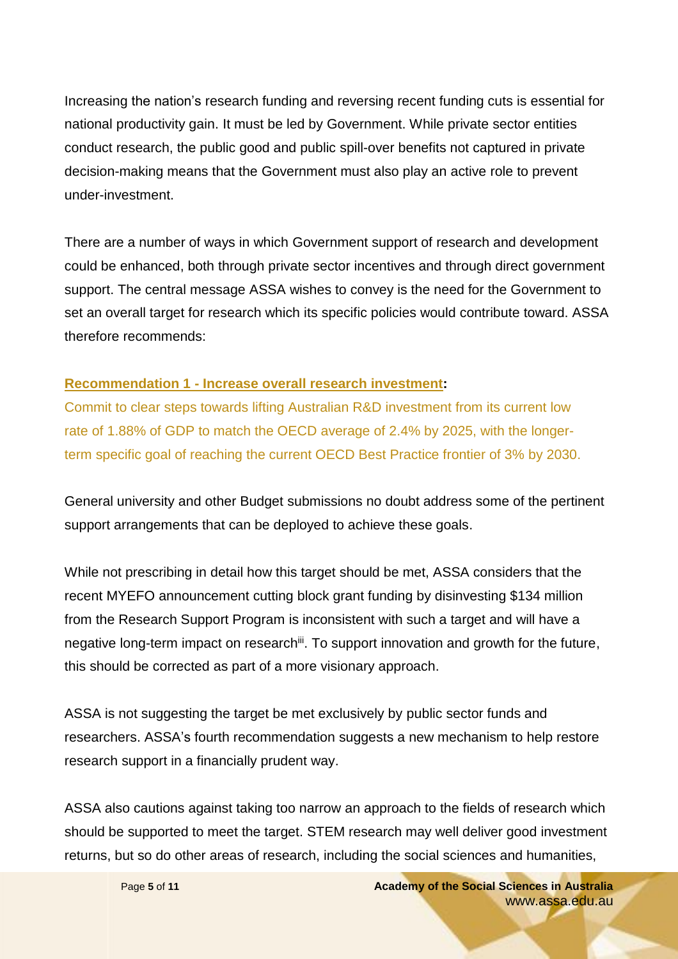Increasing the nation's research funding and reversing recent funding cuts is essential for national productivity gain. It must be led by Government. While private sector entities conduct research, the public good and public spill-over benefits not captured in private decision-making means that the Government must also play an active role to prevent under-investment.

There are a number of ways in which Government support of research and development could be enhanced, both through private sector incentives and through direct government support. The central message ASSA wishes to convey is the need for the Government to set an overall target for research which its specific policies would contribute toward. ASSA therefore recommends:

#### **Recommendation 1 - Increase overall research investment:**

Commit to clear steps towards lifting Australian R&D investment from its current low rate of 1.88% of GDP to match the OECD average of 2.4% by 2025, with the longerterm specific goal of reaching the current OECD Best Practice frontier of 3% by 2030.

General university and other Budget submissions no doubt address some of the pertinent support arrangements that can be deployed to achieve these goals.

While not prescribing in detail how this target should be met, ASSA considers that the recent MYEFO announcement cutting block grant funding by disinvesting \$134 million from the Research Support Program is inconsistent with such a target and will have a negative long-term impact on research<sup>iii</sup>. To support innovation and growth for the future, this should be corrected as part of a more visionary approach.

ASSA is not suggesting the target be met exclusively by public sector funds and researchers. ASSA's fourth recommendation suggests a new mechanism to help restore research support in a financially prudent way.

ASSA also cautions against taking too narrow an approach to the fields of research which should be supported to meet the target. STEM research may well deliver good investment returns, but so do other areas of research, including the social sciences and humanities,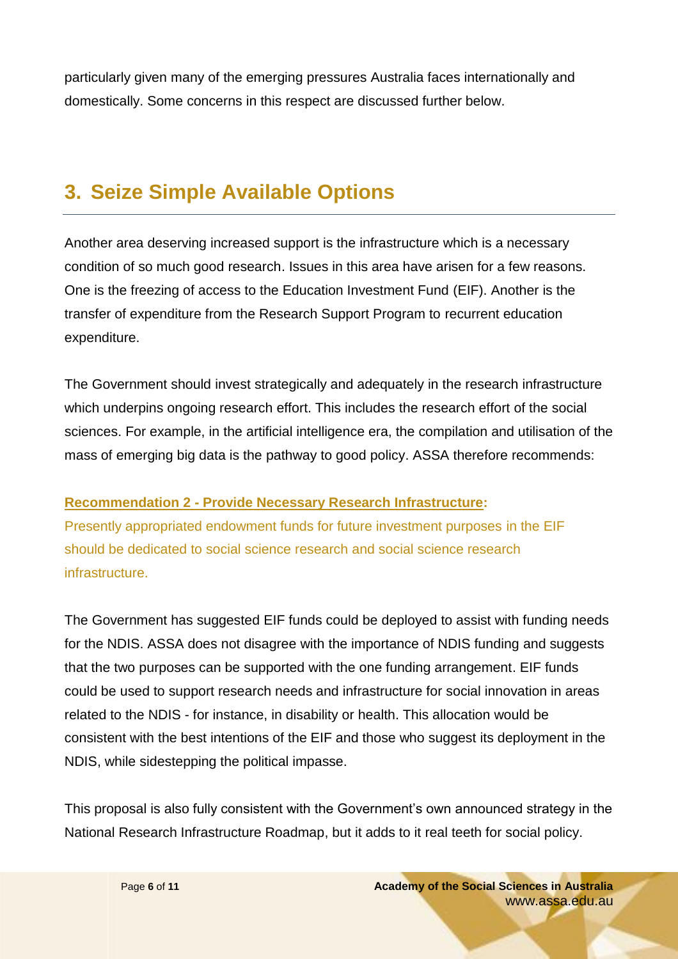particularly given many of the emerging pressures Australia faces internationally and domestically. Some concerns in this respect are discussed further below.

### <span id="page-5-0"></span>**3. Seize Simple Available Options**

Another area deserving increased support is the infrastructure which is a necessary condition of so much good research. Issues in this area have arisen for a few reasons. One is the freezing of access to the Education Investment Fund (EIF). Another is the transfer of expenditure from the Research Support Program to recurrent education expenditure.

The Government should invest strategically and adequately in the research infrastructure which underpins ongoing research effort. This includes the research effort of the social sciences. For example, in the artificial intelligence era, the compilation and utilisation of the mass of emerging big data is the pathway to good policy. ASSA therefore recommends:

#### **Recommendation 2 - Provide Necessary Research Infrastructure:**

Presently appropriated endowment funds for future investment purposes in the EIF should be dedicated to social science research and social science research infrastructure.

The Government has suggested EIF funds could be deployed to assist with funding needs for the NDIS. ASSA does not disagree with the importance of NDIS funding and suggests that the two purposes can be supported with the one funding arrangement. EIF funds could be used to support research needs and infrastructure for social innovation in areas related to the NDIS - for instance, in disability or health. This allocation would be consistent with the best intentions of the EIF and those who suggest its deployment in the NDIS, while sidestepping the political impasse.

This proposal is also fully consistent with the Government's own announced strategy in the National Research Infrastructure Roadmap, but it adds to it real teeth for social policy.

> Page **6** of **11 Academy of the Social Sciences in Australia** www.assa.edu.au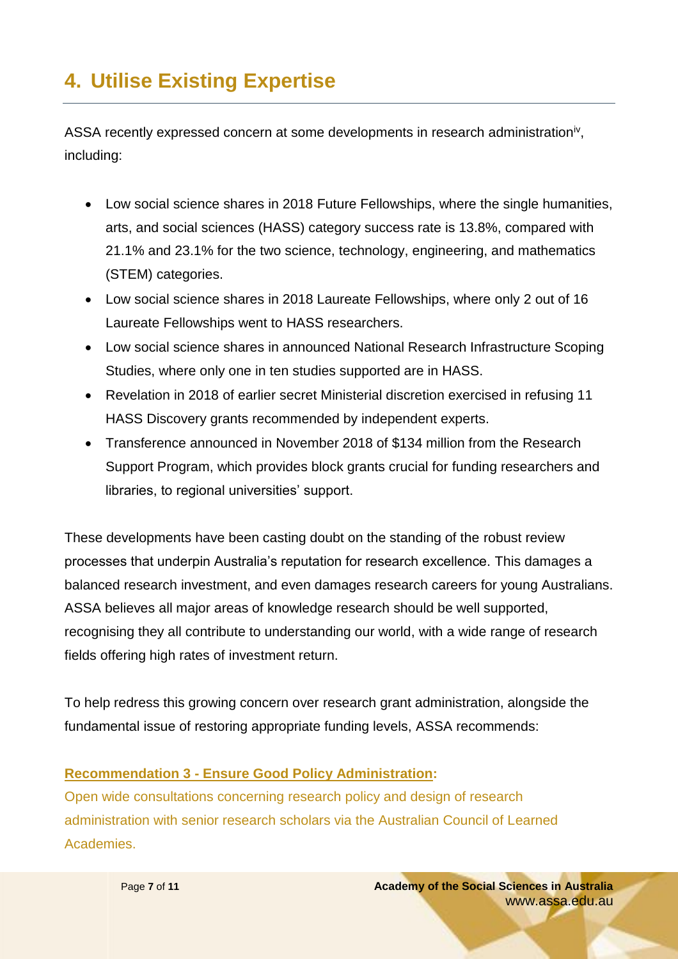# <span id="page-6-0"></span>**4. Utilise Existing Expertise**

ASSA recently expressed concern at some developments in research administration<sup>iv</sup>, including:

- Low social science shares in 2018 Future Fellowships, where the single humanities, arts, and social sciences (HASS) category success rate is 13.8%, compared with 21.1% and 23.1% for the two science, technology, engineering, and mathematics (STEM) categories.
- Low social science shares in 2018 Laureate Fellowships, where only 2 out of 16 Laureate Fellowships went to HASS researchers.
- Low social science shares in announced National Research Infrastructure Scoping Studies, where only one in ten studies supported are in HASS.
- Revelation in 2018 of earlier secret Ministerial discretion exercised in refusing 11 HASS Discovery grants recommended by independent experts.
- Transference announced in November 2018 of \$134 million from the Research Support Program, which provides block grants crucial for funding researchers and libraries, to regional universities' support.

These developments have been casting doubt on the standing of the robust review processes that underpin Australia's reputation for research excellence. This damages a balanced research investment, and even damages research careers for young Australians. ASSA believes all major areas of knowledge research should be well supported, recognising they all contribute to understanding our world, with a wide range of research fields offering high rates of investment return.

To help redress this growing concern over research grant administration, alongside the fundamental issue of restoring appropriate funding levels, ASSA recommends:

#### **Recommendation 3 - Ensure Good Policy Administration:**

Open wide consultations concerning research policy and design of research administration with senior research scholars via the Australian Council of Learned Academies.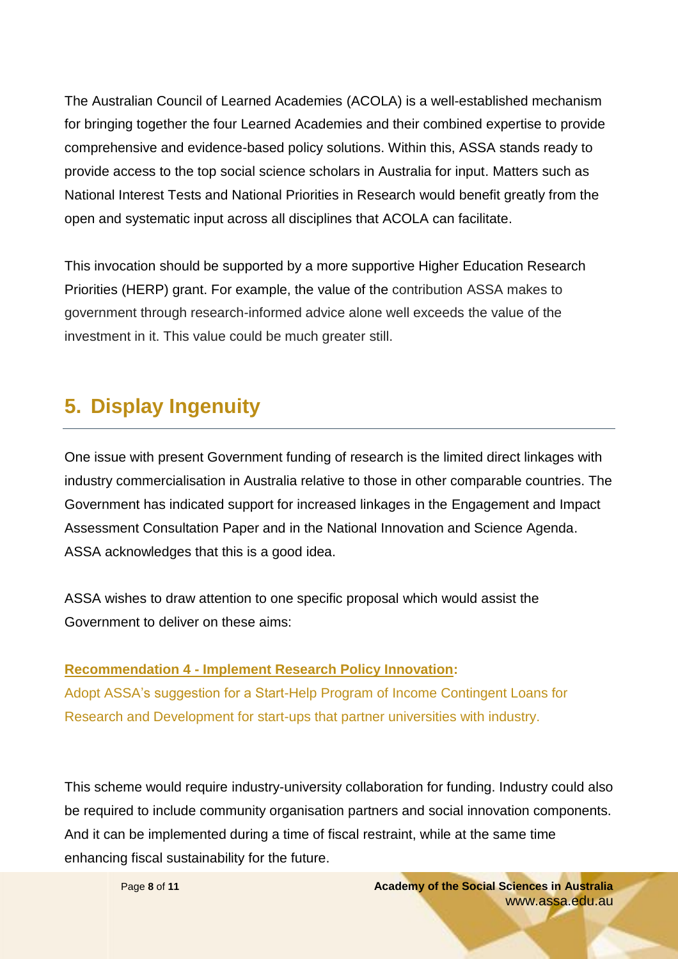The Australian Council of Learned Academies (ACOLA) is a well-established mechanism for bringing together the four Learned Academies and their combined expertise to provide comprehensive and evidence-based policy solutions. Within this, ASSA stands ready to provide access to the top social science scholars in Australia for input. Matters such as National Interest Tests and National Priorities in Research would benefit greatly from the open and systematic input across all disciplines that ACOLA can facilitate.

This invocation should be supported by a more supportive Higher Education Research Priorities (HERP) grant. For example, the value of the contribution ASSA makes to government through research-informed advice alone well exceeds the value of the investment in it. This value could be much greater still.

## <span id="page-7-0"></span>**5. Display Ingenuity**

One issue with present Government funding of research is the limited direct linkages with industry commercialisation in Australia relative to those in other comparable countries. The Government has indicated support for increased linkages in the Engagement and Impact Assessment Consultation Paper and in the National Innovation and Science Agenda. ASSA acknowledges that this is a good idea.

ASSA wishes to draw attention to one specific proposal which would assist the Government to deliver on these aims:

#### **Recommendation 4 - Implement Research Policy Innovation:** Adopt ASSA's suggestion for a Start-Help Program of Income Contingent Loans for Research and Development for start-ups that partner universities with industry.

This scheme would require industry-university collaboration for funding. Industry could also be required to include community organisation partners and social innovation components. And it can be implemented during a time of fiscal restraint, while at the same time enhancing fiscal sustainability for the future.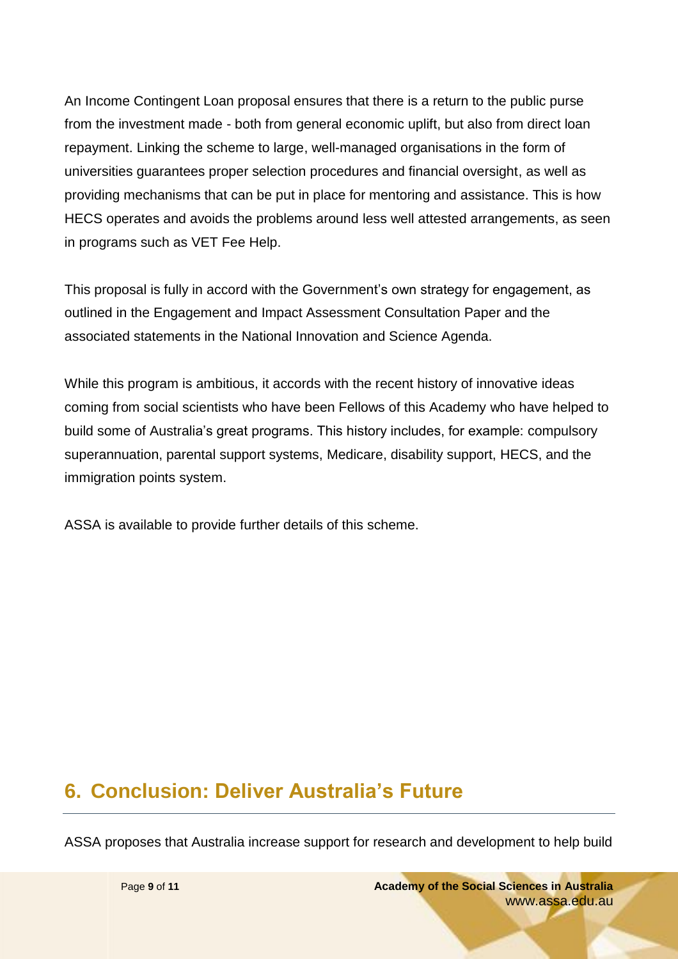An Income Contingent Loan proposal ensures that there is a return to the public purse from the investment made - both from general economic uplift, but also from direct loan repayment. Linking the scheme to large, well-managed organisations in the form of universities guarantees proper selection procedures and financial oversight, as well as providing mechanisms that can be put in place for mentoring and assistance. This is how HECS operates and avoids the problems around less well attested arrangements, as seen in programs such as VET Fee Help.

This proposal is fully in accord with the Government's own strategy for engagement, as outlined in the Engagement and Impact Assessment Consultation Paper and the associated statements in the National Innovation and Science Agenda.

While this program is ambitious, it accords with the recent history of innovative ideas coming from social scientists who have been Fellows of this Academy who have helped to build some of Australia's great programs. This history includes, for example: compulsory superannuation, parental support systems, Medicare, disability support, HECS, and the immigration points system.

ASSA is available to provide further details of this scheme.

## <span id="page-8-0"></span>**6. Conclusion: Deliver Australia's Future**

ASSA proposes that Australia increase support for research and development to help build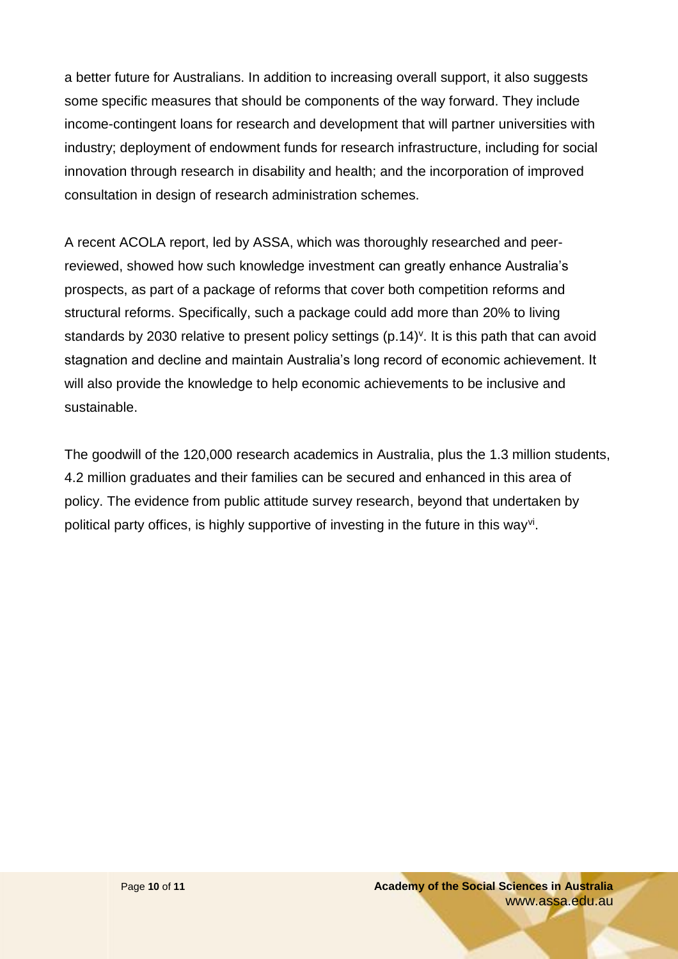a better future for Australians. In addition to increasing overall support, it also suggests some specific measures that should be components of the way forward. They include income-contingent loans for research and development that will partner universities with industry; deployment of endowment funds for research infrastructure, including for social innovation through research in disability and health; and the incorporation of improved consultation in design of research administration schemes.

A recent ACOLA report, led by ASSA, which was thoroughly researched and peerreviewed, showed how such knowledge investment can greatly enhance Australia's prospects, as part of a package of reforms that cover both competition reforms and structural reforms. Specifically, such a package could add more than 20% to living standards by 2030 relative to present policy settings (p.14)<sup>v</sup>. It is this path that can avoid stagnation and decline and maintain Australia's long record of economic achievement. It will also provide the knowledge to help economic achievements to be inclusive and sustainable.

The goodwill of the 120,000 research academics in Australia, plus the 1.3 million students, 4.2 million graduates and their families can be secured and enhanced in this area of policy. The evidence from public attitude survey research, beyond that undertaken by political party offices, is highly supportive of investing in the future in this way<sup>vi</sup>.